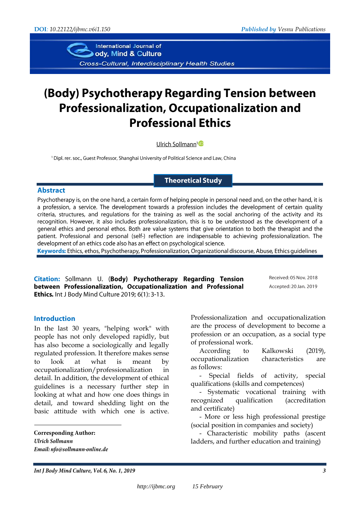International Journal of ody, Mind & Culture Cross-Cultural, Interdisciplinary Health Studies

# (Body) Psychotherapy Regarding Tension between **Professionalization, Occupationalization and Professional Ethics**

Ulrich Sollmann<sup>1</sup><sup>D</sup>

<sup>1</sup> Dipl. rer. soc., Guest Professor, Shanghai University of Political Science and Law, China

**Theoretical Study** 

#### **Abstract**

Psychotherapy is, on the one hand, a certain form of helping people in personal need and, on the other hand, it is a profession, a service. The development towards a profession includes the development of certain quality criteria, structures, and regulations for the training as well as the social anchoring of the activity and its recognition. However, it also includes professionalization, this is to be understood as the development of a general ethics and personal ethos. Both are value systems that give orientation to both the therapist and the patient. Professional and personal (self-) reflection are indispensable to achieving professionalization. The development of an ethics code also has an effect on psychological science.

Keywords: Ethics, ethos, Psychotherapy, Professionalization, Organizational discourse, Abuse, Ethics quidelines

Citation: Sollmann U. (Body) Psychotherapy Regarding Tension between Professionalization, Occupationalization and Professional Ethics. Int J Body Mind Culture 2019; 6(1): 3-13.

Received: 05 Nov. 2018 Accepted: 20 Jan. 2019

#### **Introduction**

In the last 30 years, "helping work" with people has not only developed rapidly, but has also become a sociologically and legally regulated profession. It therefore makes sense to look at what is meant by occupationalization/professionalization in detail. In addition, the development of ethical guidelines is a necessary further step in looking at what and how one does things in detail, and toward shedding light on the basic attitude with which one is active.

**Corresponding Author: Ulrich Sollmann** Email: nfo@sollmann-online.de

1

Professionalization and occupationalization are the process of development to become a profession or an occupation, as a social type of professional work.

According to Kalkowski (2019), occupationalization characteristics are as follows:

- Special fields of activity, special qualifications (skills and competences)

- Systematic vocational training with recognized qualification (accreditation and certificate)

- More or less high professional prestige (social position in companies and society)

- Characteristic mobility paths (ascent ladders, and further education and training)

Int J Body Mind Culture, Vol. 6, No. 1, 2019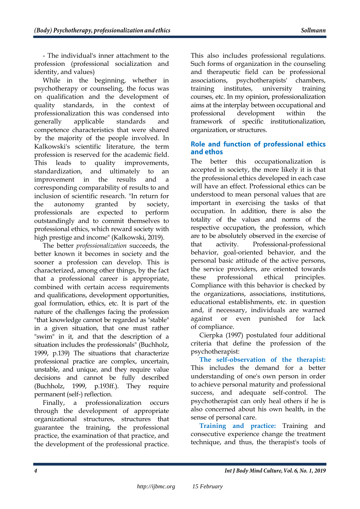- The individual's inner attachment to the profession (professional socialization and identity, and values)

While in the beginning, whether in psychotherapy or counseling, the focus was on qualification and the development of quality standards, in the context of professionalization this was condensed into generally applicable standards and competence characteristics that were shared by the majority of the people involved. In Kalkowski's scientific literature, the term profession is reserved for the academic field. This leads to quality improvements, standardization, and ultimately to an improvement in the results and a corresponding comparability of results to and inclusion of scientific research. "In return for the autonomy granted by society, professionals are expected to perform outstandingly and to commit themselves to professional ethics, which reward society with high prestige and income" (Kalkowski, 2019).

The better *professionalization* succeeds, the better known it becomes in society and the sooner a profession can develop. This is characterized, among other things, by the fact that a professional career is appropriate, combined with certain access requirements and qualifications, development opportunities, goal formulation, ethics, etc. It is part of the nature of the challenges facing the profession "that knowledge cannot be regarded as "stable" in a given situation, that one must rather "swim" in it, and that the description of a situation includes the professionals" (Buchholz, 1999, p.139) The situations that characterize professional practice are complex, uncertain, unstable, and unique, and they require value decisions and cannot be fully described (Buchholz, 1999, p.193ff.). They require permanent (self-) reflection.

Finally, a professionalization occurs through the development of appropriate organizational structures, structures that guarantee the training, the professional practice, the examination of that practice, and the development of the professional practice.

This also includes professional regulations. Such forms of organization in the counseling and therapeutic field can be professional associations, psychotherapists' chambers, training institutes, university training courses, etc. In my opinion, professionalization aims at the interplay between occupational and professional development within the framework of specific institutionalization, organization, or structures.

# Role and function of professional ethics and ethos

The better this occupationalization is accepted in society, the more likely it is that the professional ethics developed in each case will have an effect. Professional ethics can be understood to mean personal values that are important in exercising the tasks of that occupation. In addition, there is also the totality of the values and norms of the respective occupation, the profession, which are to be absolutely observed in the exercise of that activity. Professional-professional behavior, goal-oriented behavior, and the personal basic attitude of the active persons, the service providers, are oriented towards these professional ethical principles. Compliance with this behavior is checked by the organizations, associations, institutions, educational establishments, etc. in question and, if necessary, individuals are warned against or even punished for lack of compliance.

Cierpka (1997) postulated four additional criteria that define the profession of the psychotherapist:

**The self-observation of the therapist:** This includes the demand for a better understanding of one's own person in order to achieve personal maturity and professional success, and adequate self-control. The psychotherapist can only heal others if he is also concerned about his own health, in the sense of personal care.

**Training and practice:** Training and consecutive experience change the treatment technique, and thus, the therapist's tools of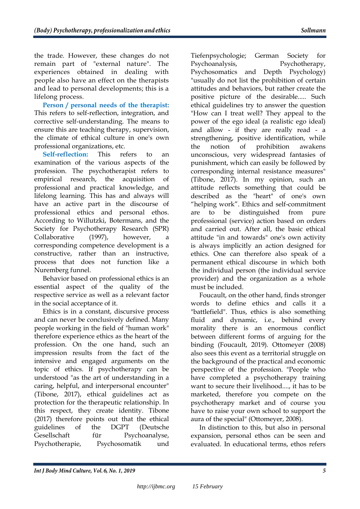the trade. However, these changes do not remain part of "external nature". The experiences obtained in dealing with people also have an effect on the therapists and lead to personal developments; this is a lifelong process.

**Person / personal needs of the therapist:** This refers to self-reflection, integration, and corrective self-understanding. The means to ensure this are teaching therapy, supervision, the climate of ethical culture in one's own professional organizations, etc.

**Self-reflection:** This refers to an examination of the various aspects of the profession. The psychotherapist refers to empirical research, the acquisition of professional and practical knowledge, and lifelong learning. This has and always will have an active part in the discourse of professional ethics and personal ethos. According to Willutzki, Botermans, and the Society for Psychotherapy Research (SPR) Collaborative (1997), however, a corresponding competence development is a constructive, rather than an instructive, process that does not function like a Nuremberg funnel.

Behavior based on professional ethics is an essential aspect of the quality of the respective service as well as a relevant factor in the social acceptance of it.

Ethics is in a constant, discursive process and can never be conclusively defined. Many people working in the field of "human work" therefore experience ethics as the heart of the profession. On the one hand, such an impression results from the fact of the intensive and engaged arguments on the topic of ethics. If psychotherapy can be understood "as the art of understanding in a caring, helpful, and interpersonal encounter" (Tibone, 2017), ethical guidelines act as protection for the therapeutic relationship. In this respect, they create identity. Tibone (2017) therefore points out that the ethical guidelines of the DGPT (Deutsche Gesellschaft für Psychoanalyse, Psychotherapie, Psychosomatik und

Tiefenpsychologie; German Society for Psychoanalysis, Psychotherapy, Psychosomatics and Depth Psychology) "usually do not list the prohibition of certain attitudes and behaviors, but rather create the positive picture of the desirable..... Such ethical guidelines try to answer the question "How can I treat well? They appeal to the power of the ego ideal (a realistic ego ideal) and allow - if they are really read - a strengthening, positive identification, while the notion of prohibition awakens unconscious, very widespread fantasies of punishment, which can easily be followed by corresponding internal resistance measures" (Tibone, 2017). In my opinion, such an attitude reflects something that could be described as the "heart" of one's own "helping work". Ethics and self-commitment are to be distinguished from pure professional (service) action based on orders and carried out. After all, the basic ethical attitude "in and towards" one's own activity is always implicitly an action designed for ethics. One can therefore also speak of a permanent ethical discourse in which both the individual person (the individual service provider) and the organization as a whole must be included.

Foucault, on the other hand, finds stronger words to define ethics and calls it a "battlefield". Thus, ethics is also something fluid and dynamic, i.e., behind every morality there is an enormous conflict between different forms of arguing for the binding (Foucault, 2019). Ottomeyer (2008) also sees this event as a territorial struggle on the background of the practical and economic perspective of the profession. "People who have completed a psychotherapy training want to secure their livelihood...., it has to be marketed, therefore you compete on the psychotherapy market and of course you have to raise your own school to support the aura of the special" (Ottomeyer, 2008).

In distinction to this, but also in personal expansion, personal ethos can be seen and evaluated. In educational terms, ethos refers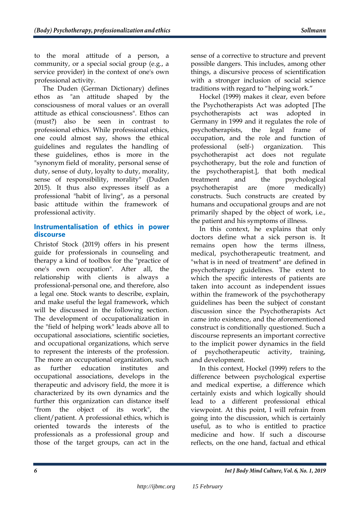to the moral attitude of a person, a community, or a special social group (e.g., a service provider) in the context of one's own professional activity.

The Duden (German Dictionary) defines ethos as "an attitude shaped by the consciousness of moral values or an overall attitude as ethical consciousness". Ethos can (must?) also be seen in contrast to professional ethics. While professional ethics, one could almost say, shows the ethical guidelines and regulates the handling of these guidelines, ethos is more in the "synonym field of morality, personal sense of duty, sense of duty, loyalty to duty, morality, sense of responsibility, morality" (Duden 2015). It thus also expresses itself as a professional "habit of living", as a personal basic attitude within the framework of professional activity.

# Instrumentalisation of ethics in power discourse

Christof Stock (2019) offers in his present guide for professionals in counseling and therapy a kind of toolbox for the "practice of one's own occupation". After all, the relationship with clients is always professional-personal one, and therefore, also a legal one. Stock wants to describe, explain, and make useful the legal framework, which will be discussed in the following section. The development of occupationalization in the "field of helping work" leads above all to occupational associations, scientific societies, and occupational organizations, which serve to represent the interests of the profession. The more an occupational organization, such as further education institutes and occupational associations, develops in the therapeutic and advisory field, the more it is characterized by its own dynamics and the further this organization can distance itself "from the object of its work", the client/patient. A professional ethics, which is oriented towards the interests of the professionals as a professional group and those of the target groups, can act in the

sense of a corrective to structure and prevent possible dangers. This includes, among other things, a discursive process of scientification with a stronger inclusion of social science traditions with regard to "helping work."

Hockel (1999) makes it clear, even before the Psychotherapists Act was adopted [The psychotherapists act was adopted in Germany in 1999 and it regulates the role of psychotherapists, the legal frame of occupation, and the role and function of professional (self-) organization. This psychotherapist act does not regulate psychotherapy, but the role and function of the psychotherapist.], that both medical treatment and the psychological psychotherapist are (more medically) constructs. Such constructs are created by humans and occupational groups and are not primarily shaped by the object of work, i.e., the patient and his symptoms of illness.

In this context, he explains that only doctors define what a sick person is. It remains open how the terms illness, medical, psychotherapeutic treatment, and "what is in need of treatment" are defined in psychotherapy guidelines. The extent to which the specific interests of patients are taken into account as independent issues within the framework of the psychotherapy guidelines has been the subject of constant discussion since the Psychotherapists Act came into existence, and the aforementioned construct is conditionally questioned. Such a discourse represents an important corrective to the implicit power dynamics in the field of psychotherapeutic activity, training, and development.

In this context, Hockel (1999) refers to the difference between psychological expertise and medical expertise, a difference which certainly exists and which logically should lead to a different professional ethical viewpoint. At this point, I will refrain from going into the discussion, which is certainly useful, as to who is entitled to practice medicine and how. If such a discourse reflects, on the one hand, factual and ethical

6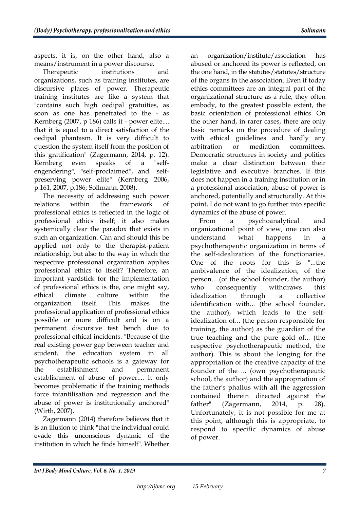aspects, it is, on the other hand, also a means/instrument in a power discourse.

Therapeutic institutions and organizations, such as training institutes, are discursive places of power. Therapeutic training institutes are like a system that "contains such high oedipal gratuities, as soon as one has penetrated to the - as Kernberg (2007, p 186) calls it - power elite.... that it is equal to a direct satisfaction of the oedipal phantasm. It is very difficult to question the system itself from the position of this gratification" (Zagermann, 2014, p. 12). Kernberg even speaks of a "selfengendering", "self-proclaimed", and "selfpreserving power elite" (Kernberg 2006, p.161, 2007, p.186; Sollmann, 2008).

The necessity of addressing such power relations within the framework of professional ethics is reflected in the logic of professional ethics itself; it also makes systemically clear the paradox that exists in such an organization. Can and should this be applied not only to the therapist-patient relationship, but also to the way in which the respective professional organization applies professional ethics to itself? Therefore, an important yardstick for the implementation of professional ethics is the, one might say, ethical climate culture within the organization itself. This makes the professional application of professional ethics possible or more difficult and is on a permanent discursive test bench due to professional ethical incidents. "Because of the real existing power gap between teacher and student, the education system in all psychotherapeutic schools is a gateway for the establishment and permanent establishment of abuse of power.... It only becomes problematic if the training methods force infantilisation and regression and the abuse of power is institutionally anchored" (Wirth, 2007).

Zagermann (2014) therefore believes that it is an illusion to think "that the individual could evade this unconscious dynamic of the institution in which he finds himself". Whether

an organization/institute/association has abused or anchored its power is reflected, on the one hand, in the statutes/statutes/structure of the organs in the association. Even if today ethics committees are an integral part of the organizational structure as a rule, they often embody, to the greatest possible extent, the basic orientation of professional ethics. On the other hand, in rarer cases, there are only basic remarks on the procedure of dealing with ethical guidelines and hardly any arbitration or mediation committees. Democratic structures in society and politics make a clear distinction between their legislative and executive branches. If this does not happen in a training institution or in a professional association, abuse of power is anchored, potentially and structurally. At this point, I do not want to go further into specific dynamics of the abuse of power.

From a psychoanalytical and organizational point of view, one can also understand what happens in a psychotherapeutic organization in terms of the self-idealization of the functionaries. One of the roots for this is "...the ambivalence of the idealization, of the person... (of the school founder, the author) who consequently withdraws this idealization through a collective identification with... (the school founder, the author), which leads to the selfidealization of... (the person responsible for training, the author) as the guardian of the true teaching and the pure gold of... (the respective psychotherapeutic method, the author). This is about the longing for the appropriation of the creative capacity of the founder of the ... (own psychotherapeutic school, the author) and the appropriation of the father's phallus with all the aggression contained therein directed against the father" (Zagermann, 2014, p. 28). Unfortunately, it is not possible for me at this point, although this is appropriate, to respond to specific dynamics of abuse of power.

Int J Body Mind Culture, Vol. 6, No. 1, 2019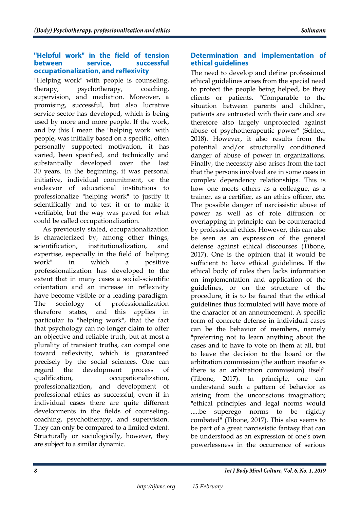#### "Helpful work" in the field of tension between service, successful occupationalization, and reflexivity

"Helping work" with people is counseling, therapy, psychotherapy, coaching, supervision, and mediation. Moreover, a promising, successful, but also lucrative service sector has developed, which is being used by more and more people. If the work, and by this I mean the "helping work" with people, was initially based on a specific, often personally supported motivation, it has varied, been specified, and technically and substantially developed over the last 30 years. In the beginning, it was personal initiative, individual commitment, or the endeavor of educational institutions to professionalize "helping work" to justify it scientifically and to test it or to make it verifiable, but the way was paved for what could be called occupationalization.

As previously stated, occupationalization is characterized by, among other things, scientification, institutionalization, and expertise, especially in the field of "helping work" in which a positive professionalization has developed to the extent that in many cases a social-scientific orientation and an increase in reflexivity have become visible or a leading paradigm. The sociology of professionalization therefore states, and this applies in particular to "helping work", that the fact that psychology can no longer claim to offer an objective and reliable truth, but at most a plurality of transient truths, can compel one toward reflexivity, which is guaranteed precisely by the social sciences. One can regard the development process of qualification, occupationalization, professionalization, and development of professional ethics as successful, even if in individual cases there are quite different developments in the fields of counseling, coaching, psychotherapy, and supervision. They can only be compared to a limited extent. Structurally or sociologically, however, they are subject to a similar dynamic.

# Determination and implementation of ethical quidelines

The need to develop and define professional ethical guidelines arises from the special need to protect the people being helped, be they clients or patients. "Comparable to the situation between parents and children, patients are entrusted with their care and are therefore also largely unprotected against abuse of psychotherapeutic power" (Schleu, 2018). However, it also results from the potential and/or structurally conditioned danger of abuse of power in organizations. Finally, the necessity also arises from the fact that the persons involved are in some cases in complex dependency relationships. This is how one meets others as a colleague, as a trainer, as a certifier, as an ethics officer, etc. The possible danger of narcissistic abuse of power as well as of role diffusion or overlapping in principle can be counteracted by professional ethics. However, this can also be seen as an expression of the general defense against ethical discourses (Tibone, 2017). One is the opinion that it would be sufficient to have ethical guidelines. If the ethical body of rules then lacks information on implementation and application of the guidelines, or on the structure of the procedure, it is to be feared that the ethical guidelines thus formulated will have more of the character of an announcement. A specific form of concrete defense in individual cases can be the behavior of members, namely "preferring not to learn anything about the cases and to have to vote on them at all, but to leave the decision to the board or the arbitration commission (the author: insofar as there is an arbitration commission) itself" (Tibone, 2017). In principle, one can understand such a pattern of behavior as arising from the unconscious imagination; "ethical principles and legal norms would .....be superego norms to be rigidly combated" (Tibone, 2017). This also seems to be part of a great narcissistic fantasy that can be understood as an expression of one's own powerlessness in the occurrence of serious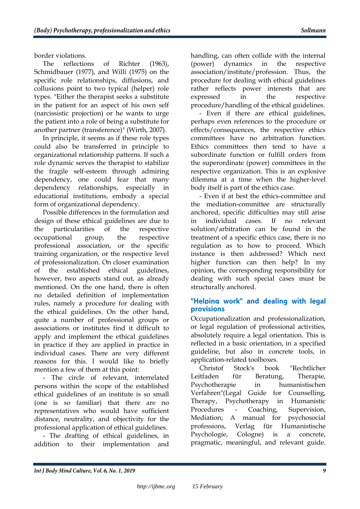border violations.

The reflections of Richter (1963), Schmidbauer (1977), and Willi (1975) on the specific role relationships, diffusions, and collusions point to two typical (helper) role types. "Either the therapist seeks a substitute in the patient for an aspect of his own self (narcissistic projection) or he wants to urge the patient into a role of being a substitute for another partner (transference)" (Wirth, 2007).

In principle, it seems as if these role types could also be transferred in principle to organizational relationship patterns. If such a role dynamic serves the therapist to stabilize the fragile self-esteem through admiring dependency, one could fear that many dependency relationships, especially in educational institutions, embody a special form of organizational dependency.

Possible differences in the formulation and design of these ethical guidelines are due to the particularities of the respective occupational group, the respective professional association, or the specific training organization, or the respective level of professionalization. On closer examination of the established ethical guidelines, however, two aspects stand out, as already mentioned. On the one hand, there is often no detailed definition of implementation rules, namely a procedure for dealing with the ethical guidelines. On the other hand, quite a number of professional groups or associations or institutes find it difficult to apply and implement the ethical guidelines in practice if they are applied in practice in individual cases. There are very different reasons for this. I would like to briefly mention a few of them at this point:

- The circle of relevant, interrelated persons within the scope of the established ethical guidelines of an institute is so small (one is so familiar) that there are no representatives who would have sufficient distance, neutrality, and objectivity for the professional application of ethical guidelines.

- The drafting of ethical guidelines, in addition to their implementation and handling, can often collide with the internal (power) dynamics in the respective association/institute/profession. Thus, the procedure for dealing with ethical guidelines rather reflects power interests that are expressed in the respective procedure/handling of the ethical guidelines.

- Even if there are ethical guidelines, perhaps even references to the procedure or effects/consequences, the respective ethics committees have no arbitration function. Ethics committees then tend to have a subordinate function or fulfill orders from the superordinate (power) committees in the respective organization. This is an explosive dilemma at a time when the higher-level body itself is part of the ethics case.

- Even if at best the ethics-committee and the mediation-committee are structurally anchored, specific difficulties may still arise in individual cases. If no relevant solution/arbitration can be found in the treatment of a specific ethics case, there is no regulation as to how to proceed. Which instance is then addressed? Which next higher function can then help? In my opinion, the corresponding responsibility for dealing with such special cases must be structurally anchored.

# "Helping work" and dealing with legal **provisions**

Occupationalization and professionalization, or legal regulation of professional activities, absolutely require a legal orientation. This is reflected in a basic orientation, in a specified guideline, but also in concrete tools, in application-related toolboxes.

Christof Stock's book "Rechtlicher Leitfaden für Beratung, Therapie, Psychotherapie in humanistischen Verfahren"(Legal Guide for Counselling, Therapy, Psychotherapy in Humanistic Procedures - Coaching, Supervision, Mediation; A manual for psychosocial professions, Verlag für Humanistische Psychologie, Cologne) is a concrete, pragmatic, meaningful, and relevant guide.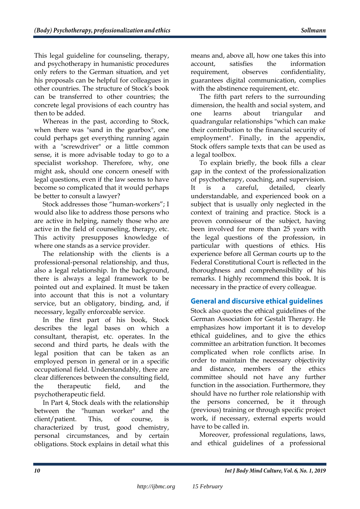This legal guideline for counseling, therapy, and psychotherapy in humanistic procedures only refers to the German situation, and yet his proposals can be helpful for colleagues in other countries. The structure of Stock's book can be transferred to other countries; the concrete legal provisions of each country has then to be added.

Whereas in the past, according to Stock, when there was "sand in the gearbox", one could perhaps get everything running again with a "screwdriver" or a little common sense, it is more advisable today to go to a specialist workshop. Therefore, why, one might ask, should one concern oneself with legal questions, even if the law seems to have become so complicated that it would perhaps be better to consult a lawyer?

Stock addresses those "human-workers"; I would also like to address those persons who are active in helping, namely those who are active in the field of counseling, therapy, etc. This activity presupposes knowledge of where one stands as a service provider.

The relationship with the clients is a professional-personal relationship, and thus, also a legal relationship. In the background, there is always a legal framework to be pointed out and explained. It must be taken into account that this is not a voluntary service, but an obligatory, binding, and, if necessary, legally enforceable service.

In the first part of his book, Stock describes the legal bases on which a consultant, therapist, etc. operates. In the second and third parts, he deals with the legal position that can be taken as an employed person in general or in a specific occupational field. Understandably, there are clear differences between the consulting field, the therapeutic field, and the psychotherapeutic field.

In Part 4, Stock deals with the relationship between the "human worker" and the client/patient. This, of course, is characterized by trust, good chemistry, personal circumstances, and by certain obligations. Stock explains in detail what this

means and, above all, how one takes this into account, satisfies the information requirement, observes confidentiality, guarantees digital communication, complies with the abstinence requirement, etc.

The fifth part refers to the surrounding dimension, the health and social system, and one learns about triangular and quadrangular relationships "which can make their contribution to the financial security of employment". Finally, in the appendix, Stock offers sample texts that can be used as a legal toolbox.

To explain briefly, the book fills a clear gap in the context of the professionalization of psychotherapy, coaching, and supervision. It is a careful, detailed, clearly understandable, and experienced book on a subject that is usually only neglected in the context of training and practice. Stock is a proven connoisseur of the subject, having been involved for more than 25 years with the legal questions of the profession, in particular with questions of ethics. His experience before all German courts up to the Federal Constitutional Court is reflected in the thoroughness and comprehensibility of his remarks. I highly recommend this book. It is necessary in the practice of every colleague.

# **General and discursive ethical quidelines**

Stock also quotes the ethical guidelines of the German Association for Gestalt Therapy. He emphasizes how important it is to develop ethical guidelines, and to give the ethics committee an arbitration function. It becomes complicated when role conflicts arise. In order to maintain the necessary objectivity and distance, members of the ethics committee should not have any further function in the association. Furthermore, they should have no further role relationship with the persons concerned, be it through (previous) training or through specific project work, if necessary, external experts would have to be called in.

Moreover, professional regulations, laws, and ethical guidelines of a professional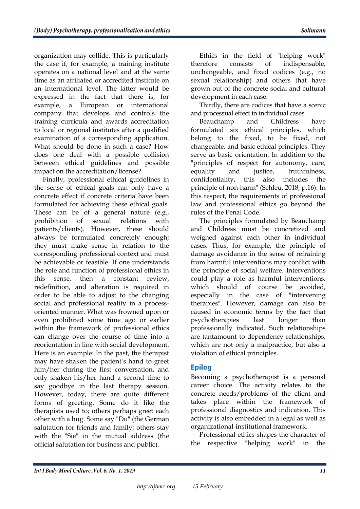organization may collide. This is particularly the case if, for example, a training institute operates on a national level and at the same time as an affiliated or accredited institute on an international level. The latter would be expressed in the fact that there is, for example, a European or international company that develops and controls the training curricula and awards accreditation to local or regional institutes after a qualified examination of a corresponding application. What should be done in such a case? How does one deal with a possible collision between ethical guidelines and possible impact on the accreditation/license?

Finally, professional ethical guidelines in the sense of ethical goals can only have a concrete effect if concrete criteria have been formulated for achieving these ethical goals. These can be of a general nature (e.g., prohibition of sexual relations with patients/clients). However, these should always be formulated concretely enough; they must make sense in relation to the corresponding professional context and must be achievable or feasible. If one understands the role and function of professional ethics in this sense, then a constant review, redefinition, and alteration is required in order to be able to adjust to the changing social and professional reality in a processoriented manner. What was frowned upon or even prohibited some time ago or earlier within the framework of professional ethics can change over the course of time into a reorientation in line with social development. Here is an example: In the past, the therapist may have shaken the patient's hand to greet him/her during the first conversation, and only shaken his/her hand a second time to say goodbye in the last therapy session. However, today, there are quite different forms of greeting. Some do it like the therapists used to; others perhaps greet each other with a hug. Some say "Du" (the German salutation for friends and family; others stay with the "Sie" in the mutual address (the official salutation for business and public).

Ethics in the field of "helping work" therefore consists of indispensable, unchangeable, and fixed codices (e.g., no sexual relationship) and others that have grown out of the concrete social and cultural development in each case.

Thirdly, there are codices that have a scenic and processual effect in individual cases.

Beauchamp and Childress have formulated six ethical principles, which belong to the fixed, to be fixed, not changeable, and basic ethical principles. They serve as basic orientation. In addition to the "principles of respect for autonomy, care, equality and justice, truthfulness, confidentiality, this also includes the principle of non-harm" (Schleu, 2018, p.16). In this respect, the requirements of professional law and professional ethics go beyond the rules of the Penal Code.

The principles formulated by Beauchamp and Childress must be concretized and weighed against each other in individual cases. Thus, for example, the principle of damage avoidance in the sense of refraining from harmful interventions may conflict with the principle of social welfare. Interventions could play a role as harmful interventions, which should of course be avoided. especially in the case of "intervening therapies". However, damage can also be caused in economic terms by the fact that psychotherapies last longer than professionally indicated. Such relationships are tantamount to dependency relationships, which are not only a malpractice, but also a violation of ethical principles.

# **Epilog**

Becoming a psychotherapist is a personal career choice. The activity relates to the concrete needs/problems of the client and takes place within the framework professional diagnostics and indication. This activity is also embedded in a legal as well as organizational-institutional framework.

Professional ethics shapes the character of the respective "helping work" in the

Int J Body Mind Culture, Vol. 6, No. 1, 2019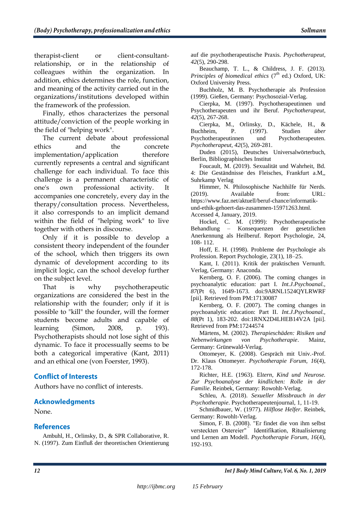therapist-client or client-consultantrelationship, or in the relationship of colleagues within the organization. In addition, ethics determines the role, function, and meaning of the activity carried out in the organizations/institutions developed within the framework of the profession.

Finally, ethos characterizes the personal attitude/conviction of the people working in the field of "helping work".

The current debate about professional ethics and the concrete implementation/application therefore currently represents a central and significant challenge for each individual. To face this challenge is a permanent characteristic of one's own professional activity. It accompanies one concretely, every day in the therapy/consultation process. Nevertheless, it also corresponds to an implicit demand within the field of "helping work" to live together with others in discourse.

Only if it is possible to develop a consistent theory independent of the founder of the school, which then triggers its own dynamic of development according to its implicit logic, can the school develop further on the subject level.

That is why psychotherapeutic organizations are considered the best in the relationship with the founder; only if it is possible to "kill" the founder, will the former students become adults and capable of learning (Simon, 2008, p. 193). Psychotherapists should not lose sight of this dynamic. To face it processually seems to be both a categorical imperative (Kant, 2011) and an ethical one (von Foerster, 1993).

# **Conflict of Interests**

Authors have no conflict of interests.

### **Acknowledgments**

None.

### **References**

Ambuhl, H., Orlinsky, D., & SPR Collaborative, R. N. (1997). Zum Einfluß der theoretischen Orientierung auf die psychotherapeutische Praxis. *Psychotherapeut, 42*(5), 290-298.

Beauchamp, T. L., & Childress, J. F. (2013). *Principles of biomedical ethics* (7<sup>th</sup> ed.) Oxford, UK: Oxford University Press.

Buchholz, M. B. Psychotherapie als Profession (1999). Gießen, Germany: Psychosozial-Verlag.

Cierpka, M. (1997). Psychotherapeutinnen und Psychotherapeuten und ihr Beruf. *Psychotherapeut, 42*(5), 267-268.

Cierpka, M., Orlinsky, D., Kächele, H., & Buchheim, P. (1997). Studien *über* Psychotherapeutinnen und Psychotherapeuten. *Psychotherapeut, 42*(5), 269-281.

Duden (2015), Deutsches Universalwörterbuch, Berlin, Bibliographisches Institut

Foucault, M. (2019). Sexualität und Wahrheit, Bd. 4: Die Geständnisse des Fleisches, Frankfurt a.M,, Suhrkamp Verlag

Himmer, N. Philosophische Nachhilfe für Nerds. (2019). Available from: URL: https://www.faz.net/aktuell/beruf-chance/informatikund-ethik-gehoert-das-zusammen-15971263.html.

Accessed 4, January, 2019.

Hockel, C. M. (1999): Psychotherapeutische Behandlung – Konsequenzen der gesetzlichen Anerkennung als Heilberuf. Report Psychologie, 24, 108- 112.

Hoff, E. H. (1998). Probleme der Psychologie als Profession. Report Psychologie, 23(1), 18–25.

Kant, I. (2011). Kritik der praktischen Vernunft. Verlag, Germany: Anaconda.

Kernberg, O. F. (2006). The coming changes in psychoanalytic education: part I. *Int.J.Psychoanal., 87*(Pt 6), 1649-1673. doi:9ARNL1524QYLRWRF [pii]. Retrieved from PM:17130087

Kernberg, O. F. (2007). The coming changes in psychoanalytic education: Part II. *Int.J.Psychoanal., 88*(Pt 1), 183-202. doi:1RNX2D4LHEB14V2A [pii]. Retrieved from PM:17244574

Märtens, M. (2002). *Therapieschäden: Risiken und Nebenwirkungen von Psychotherapie*. Mainz, Germany: Grünewald-Verlag.

Ottomeyer, K. (2008). Gespräch mit Univ.-Prof. Dr. Klaus Ottomeyer. *Psychotherapie Forum, 16*(4), 172-178.

Richter, H.E. (1963). El*tern, Kind und Neurose. Zur Psychoanalyse der kindlichen: Rolle in der Familie*. Reinbek, Germany: Rowohlt-Verlag.

Schleu, A. (2018). *Sexueller Missbrauch in der Psychotherapie*. Psychotherapeutenjournal, 1, 11-19.

Schmidbauer, W. (1977). *Hilflose Helfer*. Reinbek, Germany: Rowohlt-Verlag.

Simon, F. B. (2008). "Er findet die von ihm selbst versteckten Ostereier" Identifikation, Ritualisierung und Lernen am Modell. *Psychotherapie Forum, 16*(4), 192-193.